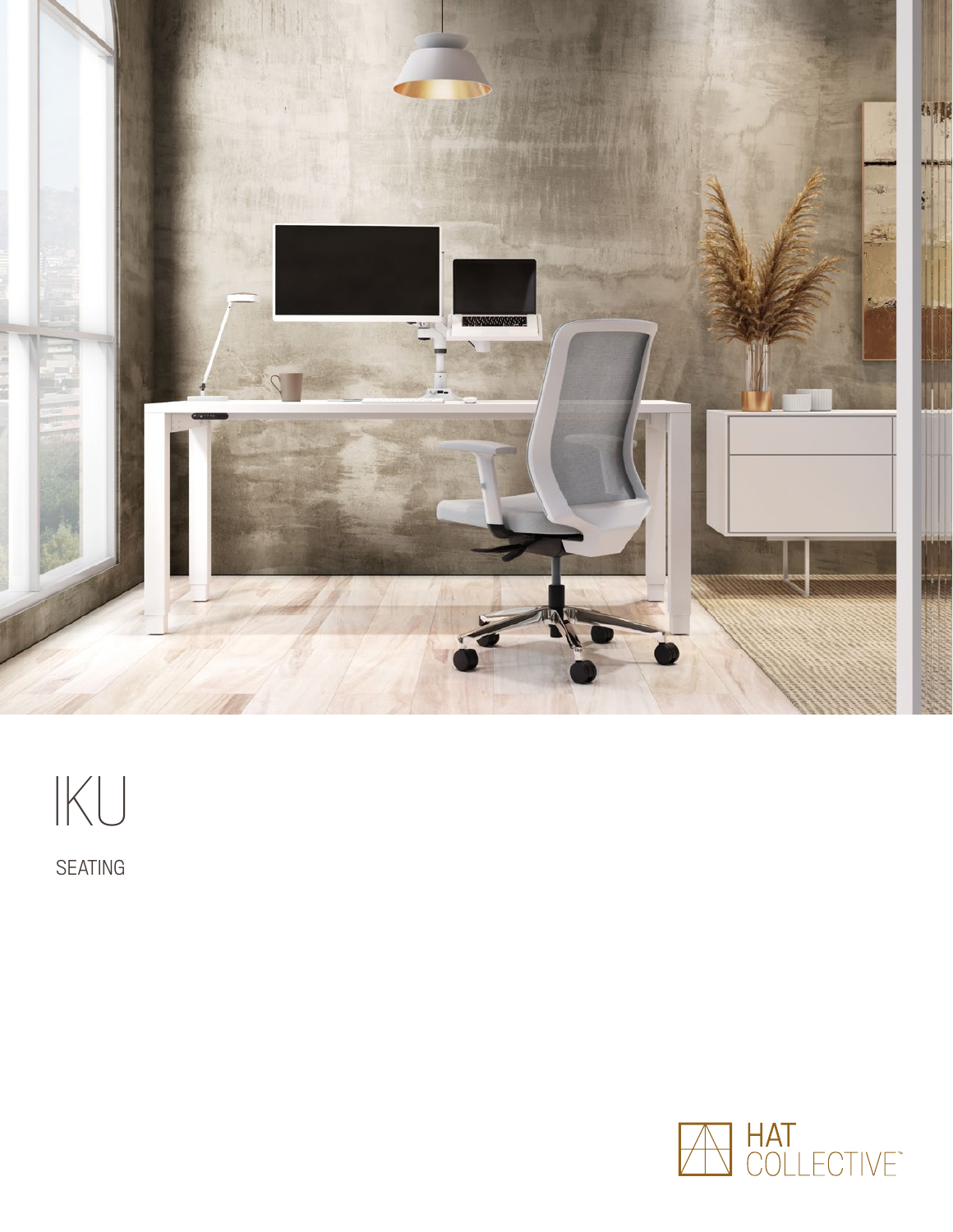

# IKU

SEATING